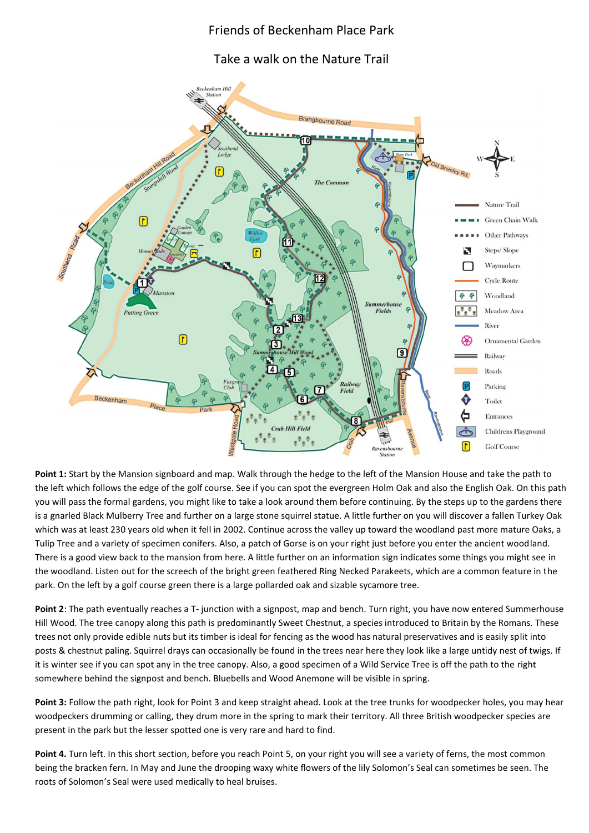## Friends of Beckenham Place Park

Take a walk on the Nature Trail



**Point 1:** Start by the Mansion signboard and map. Walk through the hedge to the left of the Mansion House and take the path to the left which follows the edge of the golf course. See if you can spot the evergreen Holm Oak and also the English Oak. On this path you will pass the formal gardens, you might like to take a look around them before continuing. By the steps up to the gardens there is a gnarled Black Mulberry Tree and further on a large stone squirrel statue. A little further on you will discover a fallen Turkey Oak which was at least 230 years old when it fell in 2002. Continue across the valley up toward the woodland past more mature Oaks, a Tulip Tree and a variety of specimen conifers. Also, a patch of Gorse is on your right just before you enter the ancient woodland. There is a good view back to the mansion from here. A little further on an information sign indicates some things you might see in the woodland. Listen out for the screech of the bright green feathered Ring Necked Parakeets, which are a common feature in the park. On the left by a golf course green there is a large pollarded oak and sizable sycamore tree.

**Point 2**: The path eventually reaches a T- junction with a signpost, map and bench. Turn right, you have now entered Summerhouse Hill Wood. The tree canopy along this path is predominantly Sweet Chestnut, a species introduced to Britain by the Romans. These trees not only provide edible nuts but its timber is ideal for fencing as the wood has natural preservatives and is easily split into posts & chestnut paling. Squirrel drays can occasionally be found in the trees near here they look like a large untidy nest of twigs. If it is winter see if you can spot any in the tree canopy. Also, a good specimen of a Wild Service Tree is off the path to the right somewhere behind the signpost and bench. Bluebells and Wood Anemone will be visible in spring.

**Point 3:** Follow the path right, look for Point 3 and keep straight ahead. Look at the tree trunks for woodpecker holes, you may hear woodpeckers drumming or calling, they drum more in the spring to mark their territory. All three British woodpecker species are present in the park but the lesser spotted one is very rare and hard to find.

Point 4. Turn left. In this short section, before you reach Point 5, on your right you will see a variety of ferns, the most common being the bracken fern. In May and June the drooping waxy white flowers of the lily Solomon's Seal can sometimes be seen. The roots of Solomon's Seal were used medically to heal bruises.